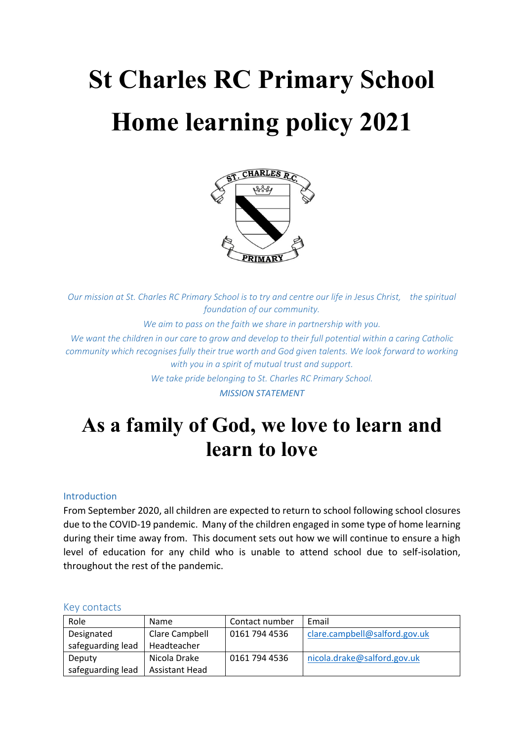# **St Charles RC Primary School Home learning policy 2021**



*Our mission at St. Charles RC Primary School is to try and centre our life in Jesus Christ, the spiritual foundation of our community.*

*We aim to pass on the faith we share in partnership with you.*

*We want the children in our care to grow and develop to their full potential within a caring Catholic community which recognises fully their true worth and God given talents. We look forward to working with you in a spirit of mutual trust and support.*

*We take pride belonging to St. Charles RC Primary School.*

*MISSION STATEMENT*

# **As a family of God, we love to learn and learn to love**

# Introduction

From September 2020, all children are expected to return to school following school closures due to the COVID-19 pandemic. Many of the children engaged in some type of home learning during their time away from. This document sets out how we will continue to ensure a high level of education for any child who is unable to attend school due to self-isolation, throughout the rest of the pandemic.

| Role              | Name                  | Contact number | Email                         |
|-------------------|-----------------------|----------------|-------------------------------|
| Designated        | Clare Campbell        | 0161 794 4536  | clare.campbell@salford.gov.uk |
| safeguarding lead | Headteacher           |                |                               |
| Deputy            | Nicola Drake          | 0161 794 4536  | nicola.drake@salford.gov.uk   |
| safeguarding lead | <b>Assistant Head</b> |                |                               |

#### Key contacts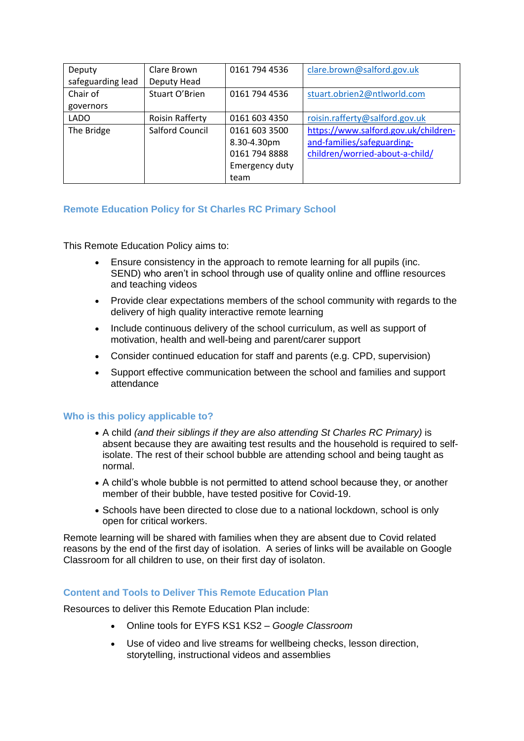| Deputy            | Clare Brown            | 0161 794 4536  | clare.brown@salford.gov.uk           |
|-------------------|------------------------|----------------|--------------------------------------|
| safeguarding lead | Deputy Head            |                |                                      |
| Chair of          | Stuart O'Brien         | 0161 794 4536  | stuart.obrien2@ntlworld.com          |
| governors         |                        |                |                                      |
| <b>LADO</b>       | <b>Roisin Rafferty</b> | 0161 603 4350  | roisin.rafferty@salford.gov.uk       |
| The Bridge        | Salford Council        | 0161 603 3500  | https://www.salford.gov.uk/children- |
|                   |                        | 8.30-4.30pm    | and-families/safeguarding-           |
|                   |                        | 0161 794 8888  | children/worried-about-a-child/      |
|                   |                        | Emergency duty |                                      |
|                   |                        | team           |                                      |

# **Remote Education Policy for St Charles RC Primary School**

This Remote Education Policy aims to:

- Ensure consistency in the approach to remote learning for all pupils (inc. SEND) who aren't in school through use of quality online and offline resources and teaching videos
- Provide clear expectations members of the school community with regards to the delivery of high quality interactive remote learning
- Include continuous delivery of the school curriculum, as well as support of motivation, health and well-being and parent/carer support
- Consider continued education for staff and parents (e.g. CPD, supervision)
- Support effective communication between the school and families and support attendance

# **Who is this policy applicable to?**

- A child *(and their siblings if they are also attending St Charles RC Primary)* is absent because they are awaiting test results and the household is required to selfisolate. The rest of their school bubble are attending school and being taught as normal.
- A child's whole bubble is not permitted to attend school because they, or another member of their bubble, have tested positive for Covid-19.
- Schools have been directed to close due to a national lockdown, school is only open for critical workers.

Remote learning will be shared with families when they are absent due to Covid related reasons by the end of the first day of isolation. A series of links will be available on Google Classroom for all children to use, on their first day of isolaton.

#### **Content and Tools to Deliver This Remote Education Plan**

Resources to deliver this Remote Education Plan include:

- Online tools for EYFS KS1 KS2 *– Google Classroom*
- Use of video and live streams for wellbeing checks, lesson direction, storytelling, instructional videos and assemblies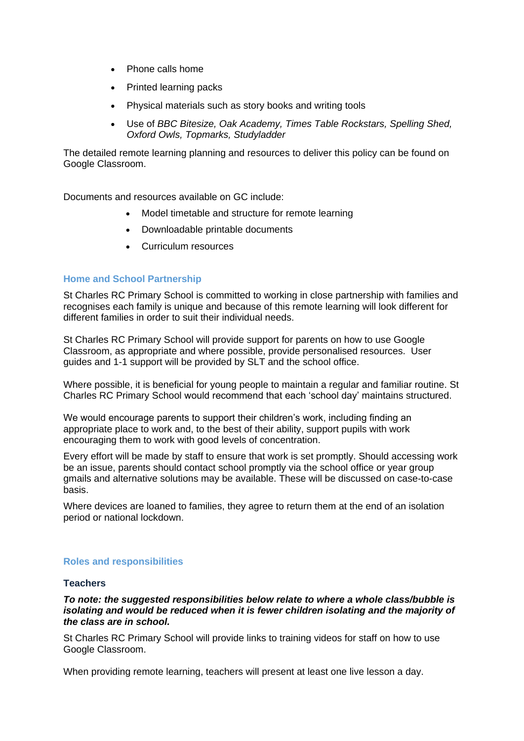- Phone calls home
- Printed learning packs
- Physical materials such as story books and writing tools
- Use of *BBC Bitesize, Oak Academy, Times Table Rockstars, Spelling Shed, Oxford Owls, Topmarks, Studyladder*

The detailed remote learning planning and resources to deliver this policy can be found on Google Classroom.

Documents and resources available on GC include:

- Model timetable and structure for remote learning
- Downloadable printable documents
- Curriculum resources

#### **Home and School Partnership**

St Charles RC Primary School is committed to working in close partnership with families and recognises each family is unique and because of this remote learning will look different for different families in order to suit their individual needs.

St Charles RC Primary School will provide support for parents on how to use Google Classroom, as appropriate and where possible, provide personalised resources. User guides and 1-1 support will be provided by SLT and the school office.

Where possible, it is beneficial for young people to maintain a regular and familiar routine. St Charles RC Primary School would recommend that each 'school day' maintains structured.

We would encourage parents to support their children's work, including finding an appropriate place to work and, to the best of their ability, support pupils with work encouraging them to work with good levels of concentration.

Every effort will be made by staff to ensure that work is set promptly. Should accessing work be an issue, parents should contact school promptly via the school office or year group gmails and alternative solutions may be available. These will be discussed on case-to-case basis.

Where devices are loaned to families, they agree to return them at the end of an isolation period or national lockdown.

# **Roles and responsibilities**

#### **Teachers**

*To note: the suggested responsibilities below relate to where a whole class/bubble is isolating and would be reduced when it is fewer children isolating and the majority of the class are in school.*

St Charles RC Primary School will provide links to training videos for staff on how to use Google Classroom.

When providing remote learning, teachers will present at least one live lesson a day.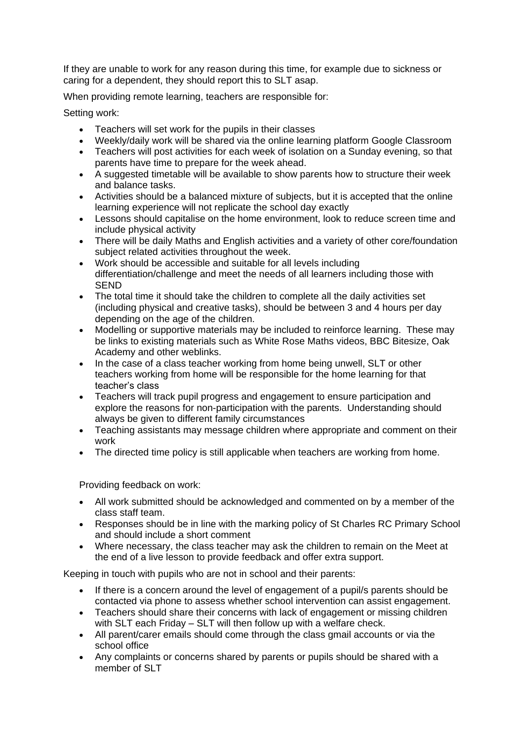If they are unable to work for any reason during this time, for example due to sickness or caring for a dependent, they should report this to SLT asap.

When providing remote learning, teachers are responsible for:

Setting work:

- Teachers will set work for the pupils in their classes
- Weekly/daily work will be shared via the online learning platform Google Classroom
- Teachers will post activities for each week of isolation on a Sunday evening, so that parents have time to prepare for the week ahead.
- A suggested timetable will be available to show parents how to structure their week and balance tasks.
- Activities should be a balanced mixture of subjects, but it is accepted that the online learning experience will not replicate the school day exactly
- Lessons should capitalise on the home environment, look to reduce screen time and include physical activity
- There will be daily Maths and English activities and a variety of other core/foundation subject related activities throughout the week.
- Work should be accessible and suitable for all levels including differentiation/challenge and meet the needs of all learners including those with SEND
- The total time it should take the children to complete all the daily activities set (including physical and creative tasks), should be between 3 and 4 hours per day depending on the age of the children.
- Modelling or supportive materials may be included to reinforce learning. These may be links to existing materials such as White Rose Maths videos, BBC Bitesize, Oak Academy and other weblinks.
- In the case of a class teacher working from home being unwell, SLT or other teachers working from home will be responsible for the home learning for that teacher's class
- Teachers will track pupil progress and engagement to ensure participation and explore the reasons for non-participation with the parents. Understanding should always be given to different family circumstances
- Teaching assistants may message children where appropriate and comment on their work
- The directed time policy is still applicable when teachers are working from home.

Providing feedback on work:

- All work submitted should be acknowledged and commented on by a member of the class staff team.
- Responses should be in line with the marking policy of St Charles RC Primary School and should include a short comment
- Where necessary, the class teacher may ask the children to remain on the Meet at the end of a live lesson to provide feedback and offer extra support.

Keeping in touch with pupils who are not in school and their parents:

- If there is a concern around the level of engagement of a pupil/s parents should be contacted via phone to assess whether school intervention can assist engagement.
- Teachers should share their concerns with lack of engagement or missing children with SLT each Friday – SLT will then follow up with a welfare check.
- All parent/carer emails should come through the class gmail accounts or via the school office
- Any complaints or concerns shared by parents or pupils should be shared with a member of SLT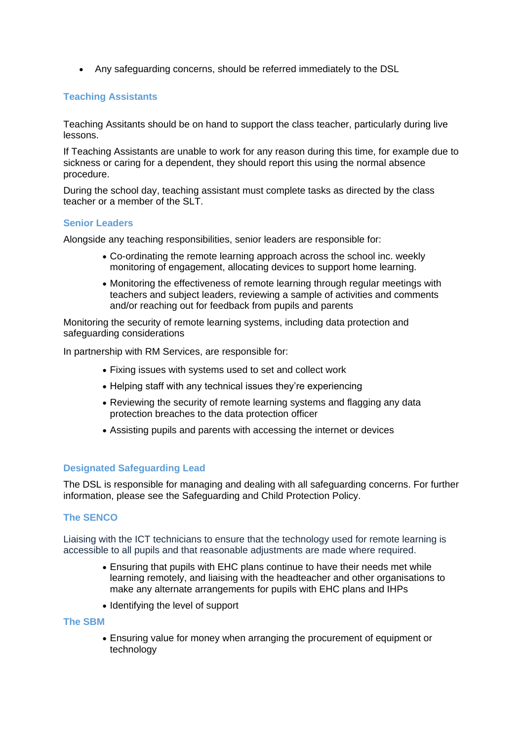• Any safeguarding concerns, should be referred immediately to the DSL

# **Teaching Assistants**

Teaching Assitants should be on hand to support the class teacher, particularly during live lessons.

If Teaching Assistants are unable to work for any reason during this time, for example due to sickness or caring for a dependent, they should report this using the normal absence procedure.

During the school day, teaching assistant must complete tasks as directed by the class teacher or a member of the SLT.

#### **Senior Leaders**

Alongside any teaching responsibilities, senior leaders are responsible for:

- Co-ordinating the remote learning approach across the school inc. weekly monitoring of engagement, allocating devices to support home learning.
- Monitoring the effectiveness of remote learning through regular meetings with teachers and subject leaders, reviewing a sample of activities and comments and/or reaching out for feedback from pupils and parents

Monitoring the security of remote learning systems, including data protection and safeguarding considerations

In partnership with RM Services, are responsible for:

- Fixing issues with systems used to set and collect work
- Helping staff with any technical issues they're experiencing
- Reviewing the security of remote learning systems and flagging any data protection breaches to the data protection officer
- Assisting pupils and parents with accessing the internet or devices

# **Designated Safeguarding Lead**

The DSL is responsible for managing and dealing with all safeguarding concerns. For further information, please see the Safeguarding and Child Protection Policy.

# **The SENCO**

Liaising with the ICT technicians to ensure that the technology used for remote learning is accessible to all pupils and that reasonable adjustments are made where required.

- Ensuring that pupils with EHC plans continue to have their needs met while learning remotely, and liaising with the headteacher and other organisations to make any alternate arrangements for pupils with EHC plans and IHPs
- Identifying the level of support

#### **The SBM**

• Ensuring value for money when arranging the procurement of equipment or technology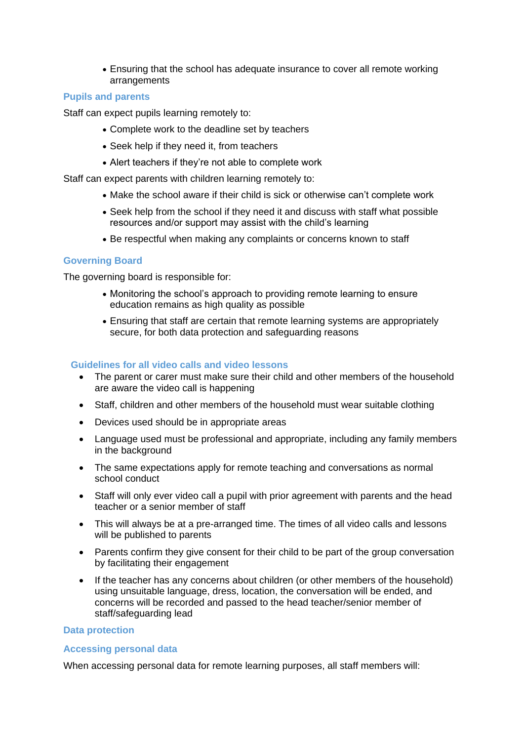• Ensuring that the school has adequate insurance to cover all remote working arrangements

#### **Pupils and parents**

Staff can expect pupils learning remotely to:

- Complete work to the deadline set by teachers
- Seek help if they need it, from teachers
- Alert teachers if they're not able to complete work

Staff can expect parents with children learning remotely to:

- Make the school aware if their child is sick or otherwise can't complete work
- Seek help from the school if they need it and discuss with staff what possible resources and/or support may assist with the child's learning
- Be respectful when making any complaints or concerns known to staff

# **Governing Board**

The governing board is responsible for:

- Monitoring the school's approach to providing remote learning to ensure education remains as high quality as possible
- Ensuring that staff are certain that remote learning systems are appropriately secure, for both data protection and safeguarding reasons

# **Guidelines for all video calls and video lessons**

- The parent or carer must make sure their child and other members of the household are aware the video call is happening
- Staff, children and other members of the household must wear suitable clothing
- Devices used should be in appropriate areas
- Language used must be professional and appropriate, including any family members in the background
- The same expectations apply for remote teaching and conversations as normal school conduct
- Staff will only ever video call a pupil with prior agreement with parents and the head teacher or a senior member of staff
- This will always be at a pre-arranged time. The times of all video calls and lessons will be published to parents
- Parents confirm they give consent for their child to be part of the group conversation by facilitating their engagement
- If the teacher has any concerns about children (or other members of the household) using unsuitable language, dress, location, the conversation will be ended, and concerns will be recorded and passed to the head teacher/senior member of staff/safeguarding lead

#### **Data protection**

#### **Accessing personal data**

When accessing personal data for remote learning purposes, all staff members will: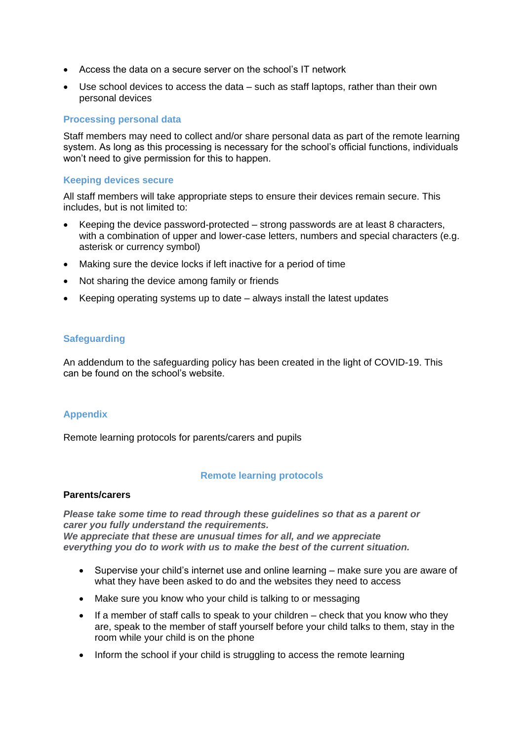- Access the data on a secure server on the school's IT network
- Use school devices to access the data such as staff laptops, rather than their own personal devices

#### **Processing personal data**

Staff members may need to collect and/or share personal data as part of the remote learning system. As long as this processing is necessary for the school's official functions, individuals won't need to give permission for this to happen.

#### **Keeping devices secure**

All staff members will take appropriate steps to ensure their devices remain secure. This includes, but is not limited to:

- Keeping the device password-protected strong passwords are at least 8 characters, with a combination of upper and lower-case letters, numbers and special characters (e.g. asterisk or currency symbol)
- Making sure the device locks if left inactive for a period of time
- Not sharing the device among family or friends
- Keeping operating systems up to date always install the latest updates

# **Safeguarding**

An addendum to the safeguarding policy has been created in the light of COVID-19. This can be found on the school's website.

# **Appendix**

Remote learning protocols for parents/carers and pupils

# **Remote learning protocols**

#### **Parents/carers**

*Please take some time to read through these guidelines so that as a parent or carer you fully understand the requirements. We appreciate that these are unusual times for all, and we appreciate everything you do to work with us to make the best of the current situation.*

- Supervise your child's internet use and online learning make sure you are aware of what they have been asked to do and the websites they need to access
- Make sure you know who your child is talking to or messaging
- If a member of staff calls to speak to your children check that you know who they are, speak to the member of staff yourself before your child talks to them, stay in the room while your child is on the phone
- Inform the school if your child is struggling to access the remote learning